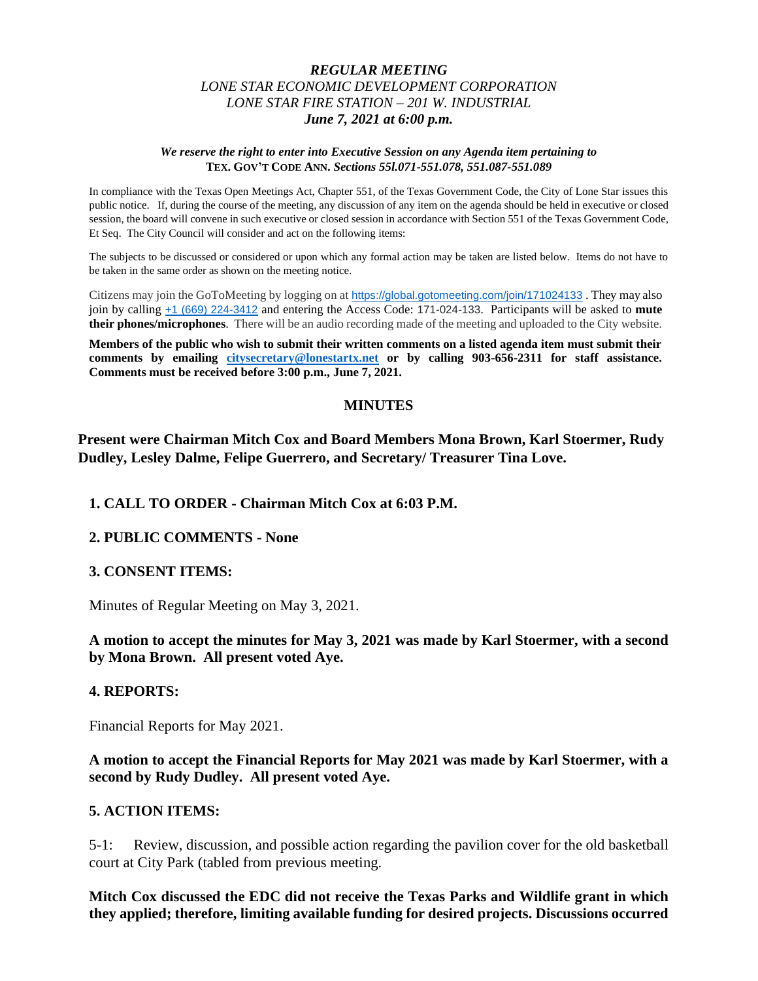## *REGULAR MEETING LONE STAR ECONOMIC DEVELOPMENT CORPORATION LONE STAR FIRE STATION – 201 W. INDUSTRIAL June 7, 2021 at 6:00 p.m.*

#### *We reserve the right to enter into Executive Session on any Agenda item pertaining to*  **TEX. GOV'T CODE ANN.** *Sections 55l.071-551.078, 551.087-551.089*

In compliance with the Texas Open Meetings Act, Chapter 551, of the Texas Government Code, the City of Lone Star issues this public notice. If, during the course of the meeting, any discussion of any item on the agenda should be held in executive or closed session, the board will convene in such executive or closed session in accordance with Section 551 of the Texas Government Code, Et Seq. The City Council will consider and act on the following items:

The subjects to be discussed or considered or upon which any formal action may be taken are listed below. Items do not have to be taken in the same order as shown on the meeting notice.

Citizens may join the GoToMeeting by logging on at <https://global.gotomeeting.com/join/171024133> . They may also join by calling [+1 \(669\) 224-3412](tel:+16692243412,,171024133) and entering the Access Code: 171-024-133. Participants will be asked to **mute their phones/microphones**. There will be an audio recording made of the meeting and uploaded to the City website.

**Members of the public who wish to submit their written comments on a listed agenda item must submit their comments by emailing [citysecretary@lonestartx.net](mailto:citysecretary@lonestartx.net) or by calling 903-656-2311 for staff assistance. Comments must be received before 3:00 p.m., June 7, 2021.**

## **MINUTES**

**Present were Chairman Mitch Cox and Board Members Mona Brown, Karl Stoermer, Rudy Dudley, Lesley Dalme, Felipe Guerrero, and Secretary/ Treasurer Tina Love.** 

## **1. CALL TO ORDER - Chairman Mitch Cox at 6:03 P.M.**

#### **2. PUBLIC COMMENTS - None**

#### **3. CONSENT ITEMS:**

Minutes of Regular Meeting on May 3, 2021.

## **A motion to accept the minutes for May 3, 2021 was made by Karl Stoermer, with a second by Mona Brown. All present voted Aye.**

#### **4. REPORTS:**

Financial Reports for May 2021.

**A motion to accept the Financial Reports for May 2021 was made by Karl Stoermer, with a second by Rudy Dudley. All present voted Aye.**

#### **5. ACTION ITEMS:**

5-1: Review, discussion, and possible action regarding the pavilion cover for the old basketball court at City Park (tabled from previous meeting.

**Mitch Cox discussed the EDC did not receive the Texas Parks and Wildlife grant in which they applied; therefore, limiting available funding for desired projects. Discussions occurred**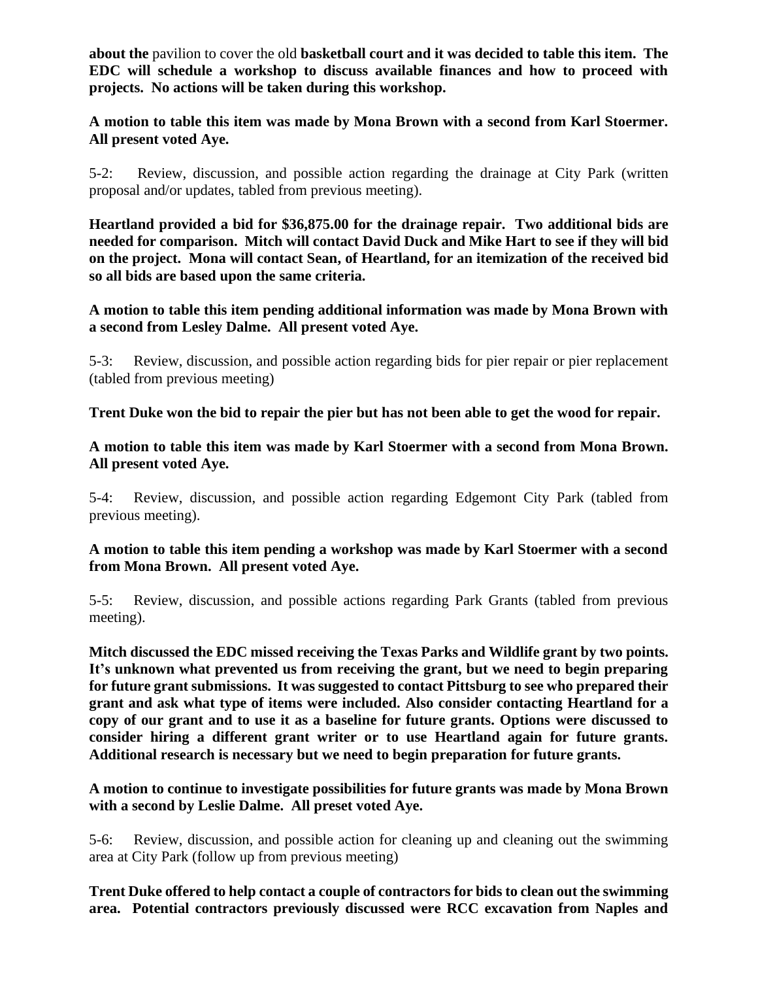**about the** pavilion to cover the old **basketball court and it was decided to table this item. The EDC will schedule a workshop to discuss available finances and how to proceed with projects. No actions will be taken during this workshop.**

**A motion to table this item was made by Mona Brown with a second from Karl Stoermer. All present voted Aye.**

5-2: Review, discussion, and possible action regarding the drainage at City Park (written proposal and/or updates, tabled from previous meeting).

**Heartland provided a bid for \$36,875.00 for the drainage repair. Two additional bids are needed for comparison. Mitch will contact David Duck and Mike Hart to see if they will bid on the project. Mona will contact Sean, of Heartland, for an itemization of the received bid so all bids are based upon the same criteria.** 

**A motion to table this item pending additional information was made by Mona Brown with a second from Lesley Dalme. All present voted Aye.**

5-3: Review, discussion, and possible action regarding bids for pier repair or pier replacement (tabled from previous meeting)

**Trent Duke won the bid to repair the pier but has not been able to get the wood for repair.** 

**A motion to table this item was made by Karl Stoermer with a second from Mona Brown. All present voted Aye.**

5-4: Review, discussion, and possible action regarding Edgemont City Park (tabled from previous meeting).

# **A motion to table this item pending a workshop was made by Karl Stoermer with a second from Mona Brown. All present voted Aye.**

5-5: Review, discussion, and possible actions regarding Park Grants (tabled from previous meeting).

**Mitch discussed the EDC missed receiving the Texas Parks and Wildlife grant by two points. It's unknown what prevented us from receiving the grant, but we need to begin preparing for future grant submissions. It was suggested to contact Pittsburg to see who prepared their grant and ask what type of items were included. Also consider contacting Heartland for a copy of our grant and to use it as a baseline for future grants. Options were discussed to consider hiring a different grant writer or to use Heartland again for future grants. Additional research is necessary but we need to begin preparation for future grants.**

**A motion to continue to investigate possibilities for future grants was made by Mona Brown with a second by Leslie Dalme. All preset voted Aye.**

5-6: Review, discussion, and possible action for cleaning up and cleaning out the swimming area at City Park (follow up from previous meeting)

**Trent Duke offered to help contact a couple of contractors for bids to clean out the swimming area. Potential contractors previously discussed were RCC excavation from Naples and**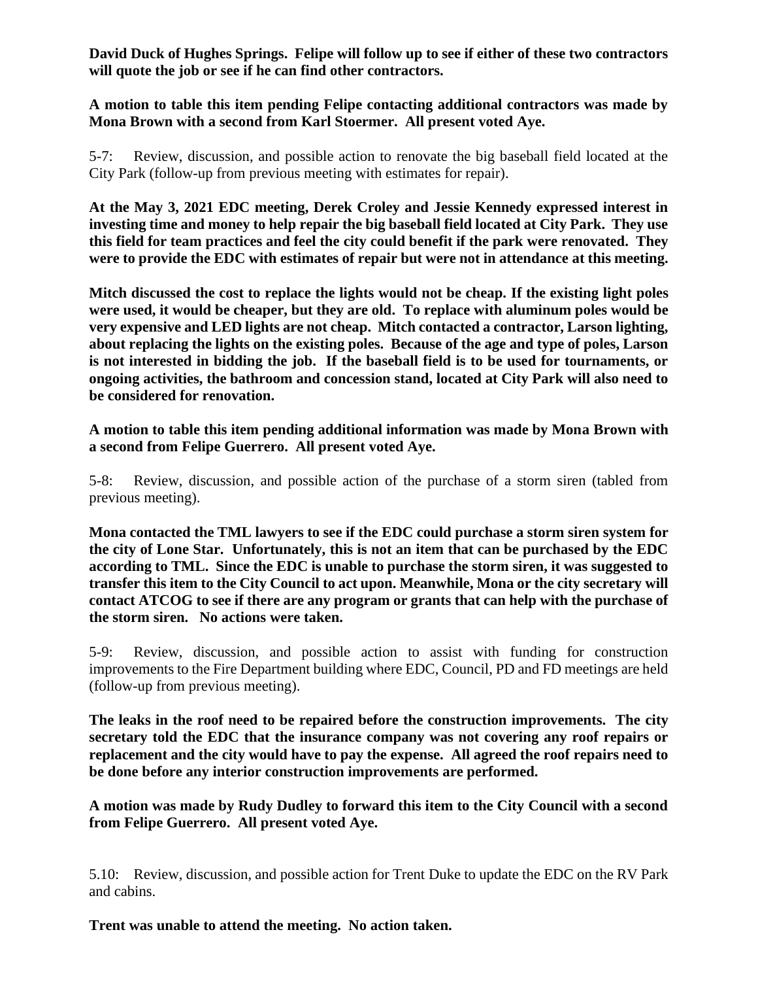**David Duck of Hughes Springs. Felipe will follow up to see if either of these two contractors will quote the job or see if he can find other contractors.** 

**A motion to table this item pending Felipe contacting additional contractors was made by Mona Brown with a second from Karl Stoermer. All present voted Aye.**

5-7: Review, discussion, and possible action to renovate the big baseball field located at the City Park (follow-up from previous meeting with estimates for repair).

**At the May 3, 2021 EDC meeting, Derek Croley and Jessie Kennedy expressed interest in investing time and money to help repair the big baseball field located at City Park. They use this field for team practices and feel the city could benefit if the park were renovated. They were to provide the EDC with estimates of repair but were not in attendance at this meeting.** 

**Mitch discussed the cost to replace the lights would not be cheap. If the existing light poles were used, it would be cheaper, but they are old. To replace with aluminum poles would be very expensive and LED lights are not cheap. Mitch contacted a contractor, Larson lighting, about replacing the lights on the existing poles. Because of the age and type of poles, Larson is not interested in bidding the job. If the baseball field is to be used for tournaments, or ongoing activities, the bathroom and concession stand, located at City Park will also need to be considered for renovation.** 

**A motion to table this item pending additional information was made by Mona Brown with a second from Felipe Guerrero. All present voted Aye.**

5-8: Review, discussion, and possible action of the purchase of a storm siren (tabled from previous meeting).

**Mona contacted the TML lawyers to see if the EDC could purchase a storm siren system for the city of Lone Star. Unfortunately, this is not an item that can be purchased by the EDC according to TML. Since the EDC is unable to purchase the storm siren, it was suggested to transfer this item to the City Council to act upon. Meanwhile, Mona or the city secretary will contact ATCOG to see if there are any program or grants that can help with the purchase of the storm siren. No actions were taken.** 

5-9: Review, discussion, and possible action to assist with funding for construction improvements to the Fire Department building where EDC, Council, PD and FD meetings are held (follow-up from previous meeting).

**The leaks in the roof need to be repaired before the construction improvements. The city secretary told the EDC that the insurance company was not covering any roof repairs or replacement and the city would have to pay the expense. All agreed the roof repairs need to be done before any interior construction improvements are performed.** 

**A motion was made by Rudy Dudley to forward this item to the City Council with a second from Felipe Guerrero. All present voted Aye.**

5.10: Review, discussion, and possible action for Trent Duke to update the EDC on the RV Park and cabins.

**Trent was unable to attend the meeting. No action taken.**